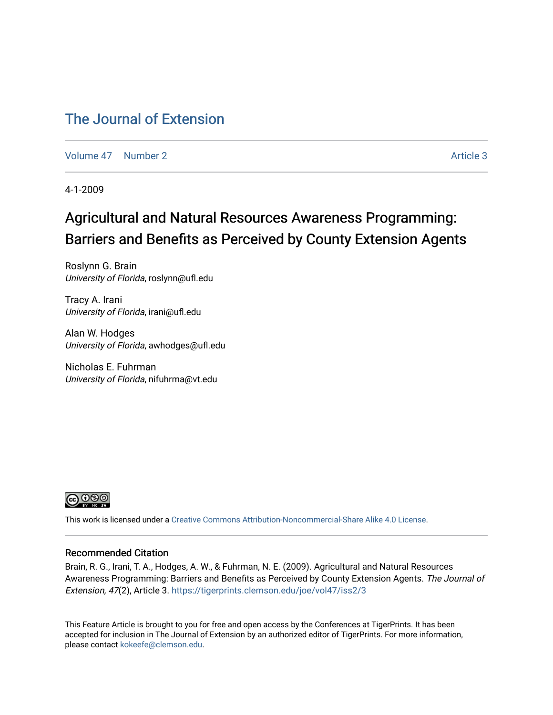### [The Journal of Extension](https://tigerprints.clemson.edu/joe)

[Volume 47](https://tigerprints.clemson.edu/joe/vol47) | [Number 2](https://tigerprints.clemson.edu/joe/vol47/iss2) Article 3

4-1-2009

## Agricultural and Natural Resources Awareness Programming: Barriers and Benefits as Perceived by County Extension Agents

Roslynn G. Brain University of Florida, roslynn@ufl.edu

Tracy A. Irani University of Florida, irani@ufl.edu

Alan W. Hodges University of Florida, awhodges@ufl.edu

Nicholas E. Fuhrman University of Florida, nifuhrma@vt.edu



This work is licensed under a [Creative Commons Attribution-Noncommercial-Share Alike 4.0 License.](https://creativecommons.org/licenses/by-nc-sa/4.0/)

#### Recommended Citation

Brain, R. G., Irani, T. A., Hodges, A. W., & Fuhrman, N. E. (2009). Agricultural and Natural Resources Awareness Programming: Barriers and Benefits as Perceived by County Extension Agents. The Journal of Extension, 47(2), Article 3.<https://tigerprints.clemson.edu/joe/vol47/iss2/3>

This Feature Article is brought to you for free and open access by the Conferences at TigerPrints. It has been accepted for inclusion in The Journal of Extension by an authorized editor of TigerPrints. For more information, please contact [kokeefe@clemson.edu](mailto:kokeefe@clemson.edu).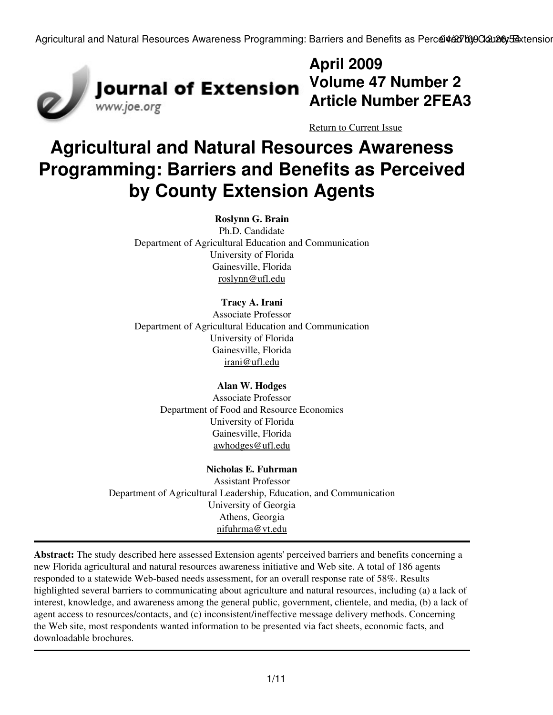

## **April 2009 Volume 47 Number 2 Article Number 2FEA3**

[Return to Current Issue](http://www.joe.org:80/joe/2009april/)

# **Agricultural and Natural Resources Awareness Programming: Barriers and Benefits as Perceived by County Extension Agents**

#### **Roslynn G. Brain**

Ph.D. Candidate Department of Agricultural Education and Communication University of Florida Gainesville, Florida [roslynn@ufl.edu](mailto:roslynn@ufl.edu)

#### **Tracy A. Irani**

Associate Professor Department of Agricultural Education and Communication University of Florida Gainesville, Florida [irani@ufl.edu](mailto:irani@ufl.edu)

#### **Alan W. Hodges**

Associate Professor Department of Food and Resource Economics University of Florida Gainesville, Florida [awhodges@ufl.edu](mailto:awhodges@ufl.edu)

#### **Nicholas E. Fuhrman**

Assistant Professor Department of Agricultural Leadership, Education, and Communication University of Georgia Athens, Georgia [nifuhrma@vt.edu](mailto:nifuhrma@vt.edu")

**Abstract:** The study described here assessed Extension agents' perceived barriers and benefits concerning a new Florida agricultural and natural resources awareness initiative and Web site. A total of 186 agents responded to a statewide Web-based needs assessment, for an overall response rate of 58%. Results highlighted several barriers to communicating about agriculture and natural resources, including (a) a lack of interest, knowledge, and awareness among the general public, government, clientele, and media, (b) a lack of agent access to resources/contacts, and (c) inconsistent/ineffective message delivery methods. Concerning the Web site, most respondents wanted information to be presented via fact sheets, economic facts, and downloadable brochures.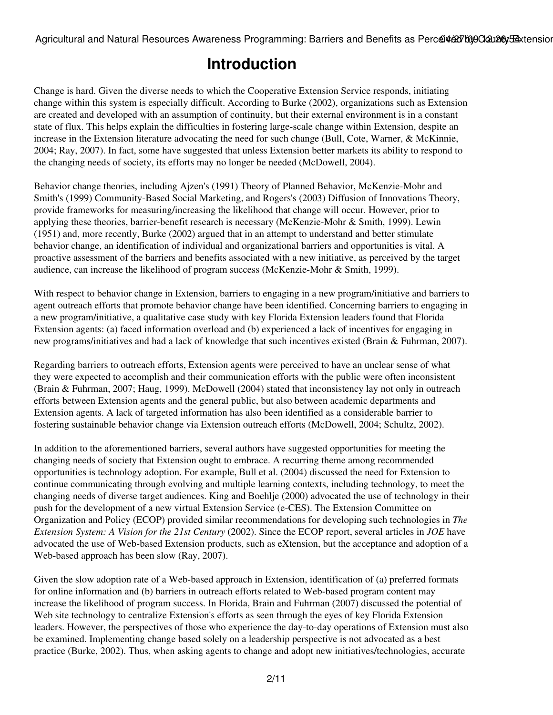## **Introduction**

Change is hard. Given the diverse needs to which the Cooperative Extension Service responds, initiating change within this system is especially difficult. According to Burke (2002), organizations such as Extension are created and developed with an assumption of continuity, but their external environment is in a constant state of flux. This helps explain the difficulties in fostering large-scale change within Extension, despite an increase in the Extension literature advocating the need for such change (Bull, Cote, Warner, & McKinnie, 2004; Ray, 2007). In fact, some have suggested that unless Extension better markets its ability to respond to the changing needs of society, its efforts may no longer be needed (McDowell, 2004).

Behavior change theories, including Ajzen's (1991) Theory of Planned Behavior, McKenzie-Mohr and Smith's (1999) Community-Based Social Marketing, and Rogers's (2003) Diffusion of Innovations Theory, provide frameworks for measuring/increasing the likelihood that change will occur. However, prior to applying these theories, barrier-benefit research is necessary (McKenzie-Mohr & Smith, 1999). Lewin (1951) and, more recently, Burke (2002) argued that in an attempt to understand and better stimulate behavior change, an identification of individual and organizational barriers and opportunities is vital. A proactive assessment of the barriers and benefits associated with a new initiative, as perceived by the target audience, can increase the likelihood of program success (McKenzie-Mohr & Smith, 1999).

With respect to behavior change in Extension, barriers to engaging in a new program/initiative and barriers to agent outreach efforts that promote behavior change have been identified. Concerning barriers to engaging in a new program/initiative, a qualitative case study with key Florida Extension leaders found that Florida Extension agents: (a) faced information overload and (b) experienced a lack of incentives for engaging in new programs/initiatives and had a lack of knowledge that such incentives existed (Brain & Fuhrman, 2007).

Regarding barriers to outreach efforts, Extension agents were perceived to have an unclear sense of what they were expected to accomplish and their communication efforts with the public were often inconsistent (Brain & Fuhrman, 2007; Haug, 1999). McDowell (2004) stated that inconsistency lay not only in outreach efforts between Extension agents and the general public, but also between academic departments and Extension agents. A lack of targeted information has also been identified as a considerable barrier to fostering sustainable behavior change via Extension outreach efforts (McDowell, 2004; Schultz, 2002).

In addition to the aforementioned barriers, several authors have suggested opportunities for meeting the changing needs of society that Extension ought to embrace. A recurring theme among recommended opportunities is technology adoption. For example, Bull et al. (2004) discussed the need for Extension to continue communicating through evolving and multiple learning contexts, including technology, to meet the changing needs of diverse target audiences. King and Boehlje (2000) advocated the use of technology in their push for the development of a new virtual Extension Service (e-CES). The Extension Committee on Organization and Policy (ECOP) provided similar recommendations for developing such technologies in *The Extension System: A Vision for the 21st Century* (2002). Since the ECOP report, several articles in *JOE* have advocated the use of Web-based Extension products, such as eXtension, but the acceptance and adoption of a Web-based approach has been slow (Ray, 2007).

Given the slow adoption rate of a Web-based approach in Extension, identification of (a) preferred formats for online information and (b) barriers in outreach efforts related to Web-based program content may increase the likelihood of program success. In Florida, Brain and Fuhrman (2007) discussed the potential of Web site technology to centralize Extension's efforts as seen through the eyes of key Florida Extension leaders. However, the perspectives of those who experience the day-to-day operations of Extension must also be examined. Implementing change based solely on a leadership perspective is not advocated as a best practice (Burke, 2002). Thus, when asking agents to change and adopt new initiatives/technologies, accurate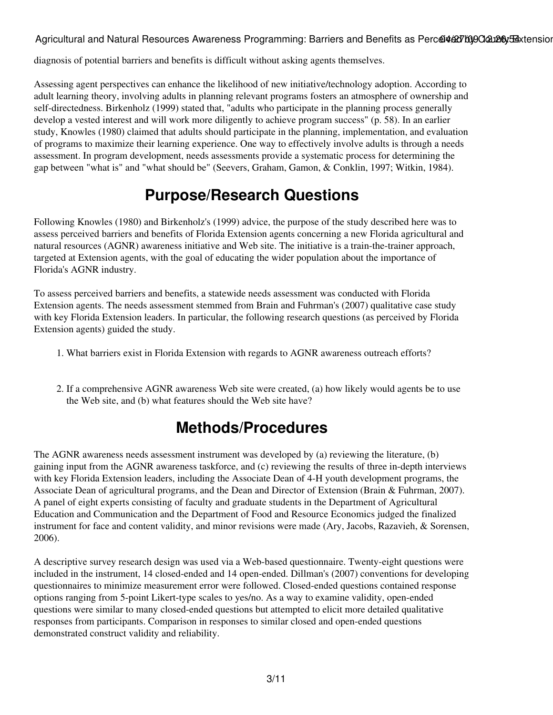diagnosis of potential barriers and benefits is difficult without asking agents themselves.

Assessing agent perspectives can enhance the likelihood of new initiative/technology adoption. According to adult learning theory, involving adults in planning relevant programs fosters an atmosphere of ownership and self-directedness. Birkenholz (1999) stated that, "adults who participate in the planning process generally develop a vested interest and will work more diligently to achieve program success" (p. 58). In an earlier study, Knowles (1980) claimed that adults should participate in the planning, implementation, and evaluation of programs to maximize their learning experience. One way to effectively involve adults is through a needs assessment. In program development, needs assessments provide a systematic process for determining the gap between "what is" and "what should be" (Seevers, Graham, Gamon, & Conklin, 1997; Witkin, 1984).

## **Purpose/Research Questions**

Following Knowles (1980) and Birkenholz's (1999) advice, the purpose of the study described here was to assess perceived barriers and benefits of Florida Extension agents concerning a new Florida agricultural and natural resources (AGNR) awareness initiative and Web site. The initiative is a train-the-trainer approach, targeted at Extension agents, with the goal of educating the wider population about the importance of Florida's AGNR industry.

To assess perceived barriers and benefits, a statewide needs assessment was conducted with Florida Extension agents. The needs assessment stemmed from Brain and Fuhrman's (2007) qualitative case study with key Florida Extension leaders. In particular, the following research questions (as perceived by Florida Extension agents) guided the study.

- 1. What barriers exist in Florida Extension with regards to AGNR awareness outreach efforts?
- 2. If a comprehensive AGNR awareness Web site were created, (a) how likely would agents be to use the Web site, and (b) what features should the Web site have?

## **Methods/Procedures**

The AGNR awareness needs assessment instrument was developed by (a) reviewing the literature, (b) gaining input from the AGNR awareness taskforce, and (c) reviewing the results of three in-depth interviews with key Florida Extension leaders, including the Associate Dean of 4-H youth development programs, the Associate Dean of agricultural programs, and the Dean and Director of Extension (Brain & Fuhrman, 2007). A panel of eight experts consisting of faculty and graduate students in the Department of Agricultural Education and Communication and the Department of Food and Resource Economics judged the finalized instrument for face and content validity, and minor revisions were made (Ary, Jacobs, Razavieh, & Sorensen, 2006).

A descriptive survey research design was used via a Web-based questionnaire. Twenty-eight questions were included in the instrument, 14 closed-ended and 14 open-ended. Dillman's (2007) conventions for developing questionnaires to minimize measurement error were followed. Closed-ended questions contained response options ranging from 5-point Likert-type scales to yes/no. As a way to examine validity, open-ended questions were similar to many closed-ended questions but attempted to elicit more detailed qualitative responses from participants. Comparison in responses to similar closed and open-ended questions demonstrated construct validity and reliability.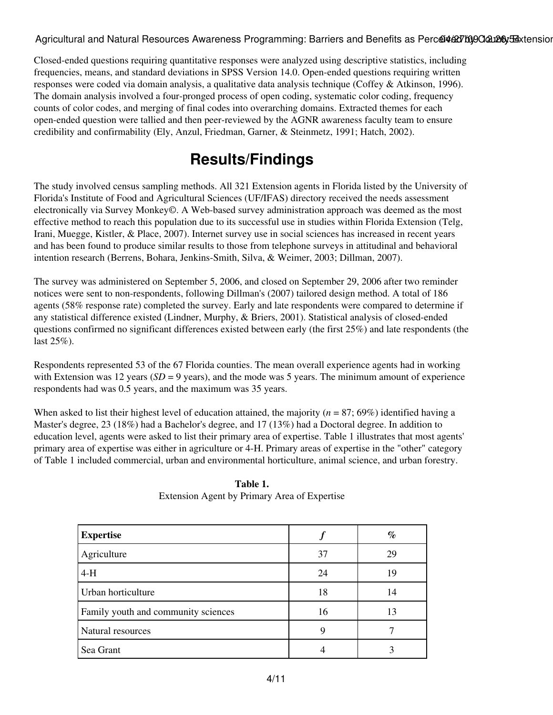Closed-ended questions requiring quantitative responses were analyzed using descriptive statistics, including frequencies, means, and standard deviations in SPSS Version 14.0. Open-ended questions requiring written responses were coded via domain analysis, a qualitative data analysis technique (Coffey & Atkinson, 1996). The domain analysis involved a four-pronged process of open coding, systematic color coding, frequency counts of color codes, and merging of final codes into overarching domains. Extracted themes for each open-ended question were tallied and then peer-reviewed by the AGNR awareness faculty team to ensure credibility and confirmability (Ely, Anzul, Friedman, Garner, & Steinmetz, 1991; Hatch, 2002).

## **Results/Findings**

The study involved census sampling methods. All 321 Extension agents in Florida listed by the University of Florida's Institute of Food and Agricultural Sciences (UF/IFAS) directory received the needs assessment electronically via Survey Monkey©. A Web-based survey administration approach was deemed as the most effective method to reach this population due to its successful use in studies within Florida Extension (Telg, Irani, Muegge, Kistler, & Place, 2007). Internet survey use in social sciences has increased in recent years and has been found to produce similar results to those from telephone surveys in attitudinal and behavioral intention research (Berrens, Bohara, Jenkins-Smith, Silva, & Weimer, 2003; Dillman, 2007).

The survey was administered on September 5, 2006, and closed on September 29, 2006 after two reminder notices were sent to non-respondents, following Dillman's (2007) tailored design method. A total of 186 agents (58% response rate) completed the survey. Early and late respondents were compared to determine if any statistical difference existed (Lindner, Murphy, & Briers, 2001). Statistical analysis of closed-ended questions confirmed no significant differences existed between early (the first 25%) and late respondents (the last 25%).

Respondents represented 53 of the 67 Florida counties. The mean overall experience agents had in working with Extension was 12 years ( $SD = 9$  years), and the mode was 5 years. The minimum amount of experience respondents had was 0.5 years, and the maximum was 35 years.

When asked to list their highest level of education attained, the majority (*n* = 87; 69%) identified having a Master's degree, 23 (18%) had a Bachelor's degree, and 17 (13%) had a Doctoral degree. In addition to education level, agents were asked to list their primary area of expertise. Table 1 illustrates that most agents' primary area of expertise was either in agriculture or 4-H. Primary areas of expertise in the "other" category of Table 1 included commercial, urban and environmental horticulture, animal science, and urban forestry.

| <b>Expertise</b>                    |    | $\%$ |
|-------------------------------------|----|------|
| Agriculture                         | 37 | 29   |
| $4-H$                               | 24 | 19   |
| Urban horticulture                  | 18 | 14   |
| Family youth and community sciences | 16 | 13   |
| Natural resources                   | 9  |      |
| Sea Grant                           |    |      |

**Table 1.** Extension Agent by Primary Area of Expertise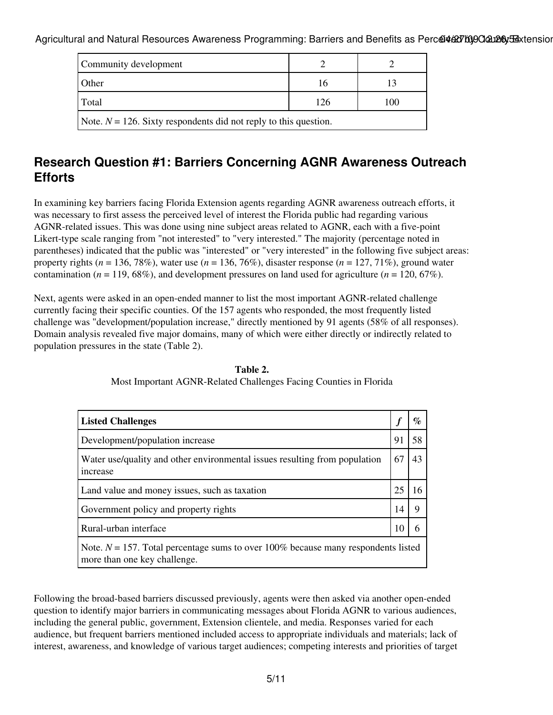| Community development                                               |     |     |  |  |
|---------------------------------------------------------------------|-----|-----|--|--|
| Other                                                               |     |     |  |  |
| Total                                                               | 126 | 100 |  |  |
| Note. $N = 126$ . Sixty respondents did not reply to this question. |     |     |  |  |

### **Research Question #1: Barriers Concerning AGNR Awareness Outreach Efforts**

In examining key barriers facing Florida Extension agents regarding AGNR awareness outreach efforts, it was necessary to first assess the perceived level of interest the Florida public had regarding various AGNR-related issues. This was done using nine subject areas related to AGNR, each with a five-point Likert-type scale ranging from "not interested" to "very interested." The majority (percentage noted in parentheses) indicated that the public was "interested" or "very interested" in the following five subject areas: property rights (*n* = 136, 78%), water use (*n* = 136, 76%), disaster response (*n* = 127, 71%), ground water contamination ( $n = 119, 68\%$ ), and development pressures on land used for agriculture ( $n = 120, 67\%$ ).

Next, agents were asked in an open-ended manner to list the most important AGNR-related challenge currently facing their specific counties. Of the 157 agents who responded, the most frequently listed challenge was "development/population increase," directly mentioned by 91 agents (58% of all responses). Domain analysis revealed five major domains, many of which were either directly or indirectly related to population pressures in the state (Table 2).

| <b>Listed Challenges</b>                                                                                             |    | $\mathcal{O}_{\mathcal{O}}$ |
|----------------------------------------------------------------------------------------------------------------------|----|-----------------------------|
| Development/population increase                                                                                      | 91 | 58                          |
| Water use/quality and other environmental issues resulting from population<br>increase                               | 67 | 43                          |
| Land value and money issues, such as taxation                                                                        | 25 |                             |
| Government policy and property rights                                                                                | 14 | Q                           |
| Rural-urban interface                                                                                                |    |                             |
| Note. $N = 157$ . Total percentage sums to over 100% because many respondents listed<br>more than one key challenge. |    |                             |

**Table 2.** Most Important AGNR-Related Challenges Facing Counties in Florida

Following the broad-based barriers discussed previously, agents were then asked via another open-ended question to identify major barriers in communicating messages about Florida AGNR to various audiences, including the general public, government, Extension clientele, and media. Responses varied for each audience, but frequent barriers mentioned included access to appropriate individuals and materials; lack of interest, awareness, and knowledge of various target audiences; competing interests and priorities of target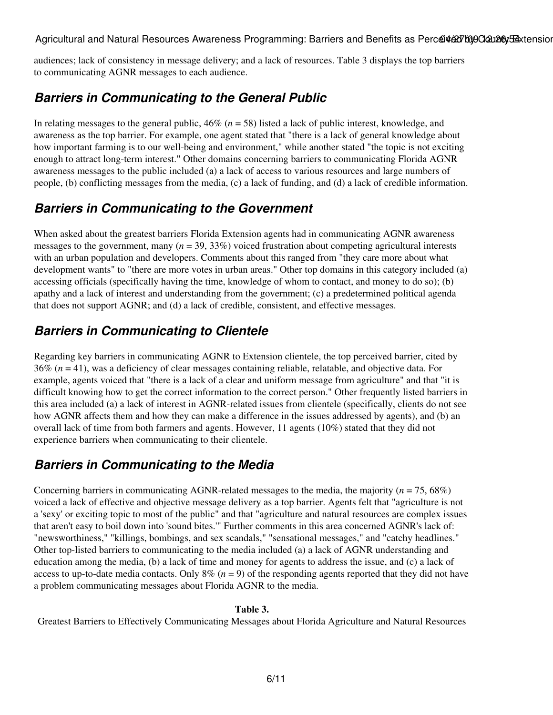audiences; lack of consistency in message delivery; and a lack of resources. Table 3 displays the top barriers to communicating AGNR messages to each audience.

### *Barriers in Communicating to the General Public*

In relating messages to the general public, 46% (*n* = 58) listed a lack of public interest, knowledge, and awareness as the top barrier. For example, one agent stated that "there is a lack of general knowledge about how important farming is to our well-being and environment," while another stated "the topic is not exciting enough to attract long-term interest." Other domains concerning barriers to communicating Florida AGNR awareness messages to the public included (a) a lack of access to various resources and large numbers of people, (b) conflicting messages from the media, (c) a lack of funding, and (d) a lack of credible information.

### *Barriers in Communicating to the Government*

When asked about the greatest barriers Florida Extension agents had in communicating AGNR awareness messages to the government, many (*n* = 39, 33%) voiced frustration about competing agricultural interests with an urban population and developers. Comments about this ranged from "they care more about what development wants" to "there are more votes in urban areas." Other top domains in this category included (a) accessing officials (specifically having the time, knowledge of whom to contact, and money to do so); (b) apathy and a lack of interest and understanding from the government; (c) a predetermined political agenda that does not support AGNR; and (d) a lack of credible, consistent, and effective messages.

### *Barriers in Communicating to Clientele*

Regarding key barriers in communicating AGNR to Extension clientele, the top perceived barrier, cited by 36% (*n* = 41), was a deficiency of clear messages containing reliable, relatable, and objective data. For example, agents voiced that "there is a lack of a clear and uniform message from agriculture" and that "it is difficult knowing how to get the correct information to the correct person." Other frequently listed barriers in this area included (a) a lack of interest in AGNR-related issues from clientele (specifically, clients do not see how AGNR affects them and how they can make a difference in the issues addressed by agents), and (b) an overall lack of time from both farmers and agents. However, 11 agents (10%) stated that they did not experience barriers when communicating to their clientele.

### *Barriers in Communicating to the Media*

Concerning barriers in communicating AGNR-related messages to the media, the majority (*n* = 75, 68%) voiced a lack of effective and objective message delivery as a top barrier. Agents felt that "agriculture is not a 'sexy' or exciting topic to most of the public" and that "agriculture and natural resources are complex issues that aren't easy to boil down into 'sound bites.'" Further comments in this area concerned AGNR's lack of: "newsworthiness," "killings, bombings, and sex scandals," "sensational messages," and "catchy headlines." Other top-listed barriers to communicating to the media included (a) a lack of AGNR understanding and education among the media, (b) a lack of time and money for agents to address the issue, and (c) a lack of access to up-to-date media contacts. Only  $8\%$  ( $n = 9$ ) of the responding agents reported that they did not have a problem communicating messages about Florida AGNR to the media.

#### **Table 3.**

Greatest Barriers to Effectively Communicating Messages about Florida Agriculture and Natural Resources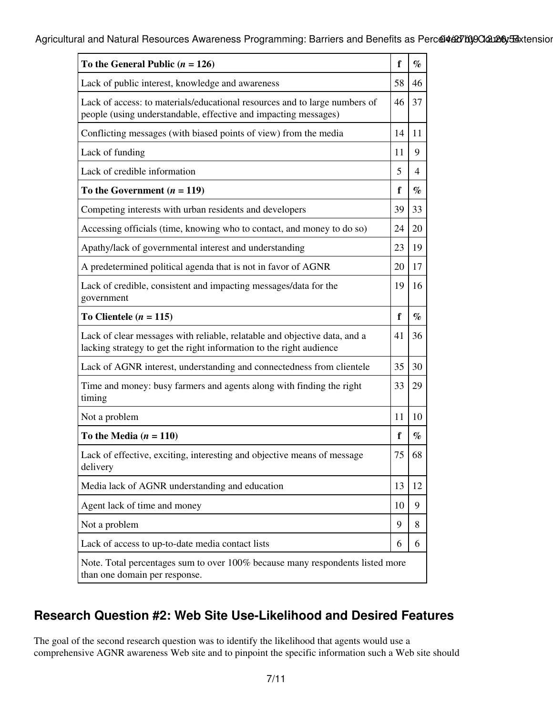| To the General Public $(n = 126)$                                                                                                                | f  | $\%$           |  |
|--------------------------------------------------------------------------------------------------------------------------------------------------|----|----------------|--|
| Lack of public interest, knowledge and awareness                                                                                                 | 58 | 46             |  |
| Lack of access: to materials/educational resources and to large numbers of<br>people (using understandable, effective and impacting messages)    |    | 37             |  |
| Conflicting messages (with biased points of view) from the media                                                                                 |    | 11             |  |
| Lack of funding                                                                                                                                  | 11 | 9              |  |
| Lack of credible information                                                                                                                     | 5  | $\overline{4}$ |  |
| To the Government $(n = 119)$                                                                                                                    | f  | $\%$           |  |
| Competing interests with urban residents and developers                                                                                          |    | 33             |  |
| Accessing officials (time, knowing who to contact, and money to do so)                                                                           |    | 20             |  |
| Apathy/lack of governmental interest and understanding                                                                                           | 23 | 19             |  |
| A predetermined political agenda that is not in favor of AGNR                                                                                    |    | 17             |  |
| Lack of credible, consistent and impacting messages/data for the<br>government                                                                   |    | 16             |  |
| To Clientele ( $n = 115$ )                                                                                                                       | f  | $\%$           |  |
| Lack of clear messages with reliable, relatable and objective data, and a<br>lacking strategy to get the right information to the right audience |    | 36             |  |
| Lack of AGNR interest, understanding and connectedness from clientele                                                                            |    | 30             |  |
| Time and money: busy farmers and agents along with finding the right<br>timing                                                                   |    | 29             |  |
| Not a problem                                                                                                                                    |    | 10             |  |
| To the Media $(n = 110)$                                                                                                                         | f  | $\%$           |  |
| Lack of effective, exciting, interesting and objective means of message<br>delivery                                                              |    | 68             |  |
| Media lack of AGNR understanding and education                                                                                                   |    | 12             |  |
| Agent lack of time and money                                                                                                                     | 10 | 9              |  |
| Not a problem                                                                                                                                    | 9  | 8              |  |
| Lack of access to up-to-date media contact lists                                                                                                 | 6  | 6              |  |
| Note. Total percentages sum to over 100% because many respondents listed more<br>than one domain per response.                                   |    |                |  |

### **Research Question #2: Web Site Use-Likelihood and Desired Features**

The goal of the second research question was to identify the likelihood that agents would use a comprehensive AGNR awareness Web site and to pinpoint the specific information such a Web site should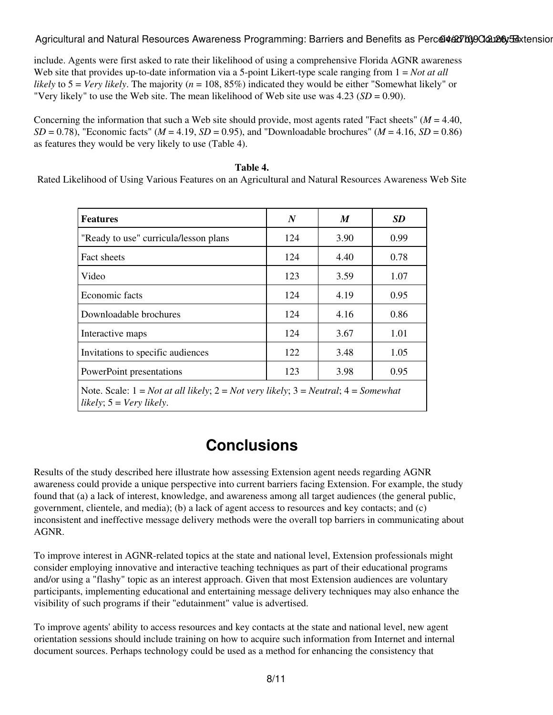include. Agents were first asked to rate their likelihood of using a comprehensive Florida AGNR awareness Web site that provides up-to-date information via a 5-point Likert-type scale ranging from  $1 = Not$  *at all likely* to 5 = *Very likely*. The majority (*n* = 108, 85%) indicated they would be either "Somewhat likely" or "Very likely" to use the Web site. The mean likelihood of Web site use was 4.23 (*SD* = 0.90).

Concerning the information that such a Web site should provide, most agents rated "Fact sheets" ( $M = 4.40$ ,  $SD = 0.78$ ), "Economic facts" ( $M = 4.19$ ,  $SD = 0.95$ ), and "Downloadable brochures" ( $M = 4.16$ ,  $SD = 0.86$ ) as features they would be very likely to use (Table 4).

#### **Table 4.**

Rated Likelihood of Using Various Features on an Agricultural and Natural Resources Awareness Web Site

| <b>Features</b>                                                                                                                  | N   | M    | <b>SD</b> |
|----------------------------------------------------------------------------------------------------------------------------------|-----|------|-----------|
| "Ready to use" curricula/lesson plans                                                                                            | 124 | 3.90 | 0.99      |
| <b>Fact sheets</b>                                                                                                               | 124 | 4.40 | 0.78      |
| Video                                                                                                                            | 123 | 3.59 | 1.07      |
| Economic facts                                                                                                                   | 124 | 4.19 | 0.95      |
| Downloadable brochures                                                                                                           | 124 | 4.16 | 0.86      |
| Interactive maps                                                                                                                 | 124 | 3.67 | 1.01      |
| Invitations to specific audiences                                                                                                | 122 | 3.48 | 1.05      |
| PowerPoint presentations                                                                                                         | 123 | 3.98 | 0.95      |
| Note. Scale: $1 = Not$ at all likely; $2 = Not$ very likely; $3 = Neutral$ ; $4 = Somewhat$<br>likely; $5 = \text{Very likely.}$ |     |      |           |

## **Conclusions**

Results of the study described here illustrate how assessing Extension agent needs regarding AGNR awareness could provide a unique perspective into current barriers facing Extension. For example, the study found that (a) a lack of interest, knowledge, and awareness among all target audiences (the general public, government, clientele, and media); (b) a lack of agent access to resources and key contacts; and (c) inconsistent and ineffective message delivery methods were the overall top barriers in communicating about AGNR.

To improve interest in AGNR-related topics at the state and national level, Extension professionals might consider employing innovative and interactive teaching techniques as part of their educational programs and/or using a "flashy" topic as an interest approach. Given that most Extension audiences are voluntary participants, implementing educational and entertaining message delivery techniques may also enhance the visibility of such programs if their "edutainment" value is advertised.

To improve agents' ability to access resources and key contacts at the state and national level, new agent orientation sessions should include training on how to acquire such information from Internet and internal document sources. Perhaps technology could be used as a method for enhancing the consistency that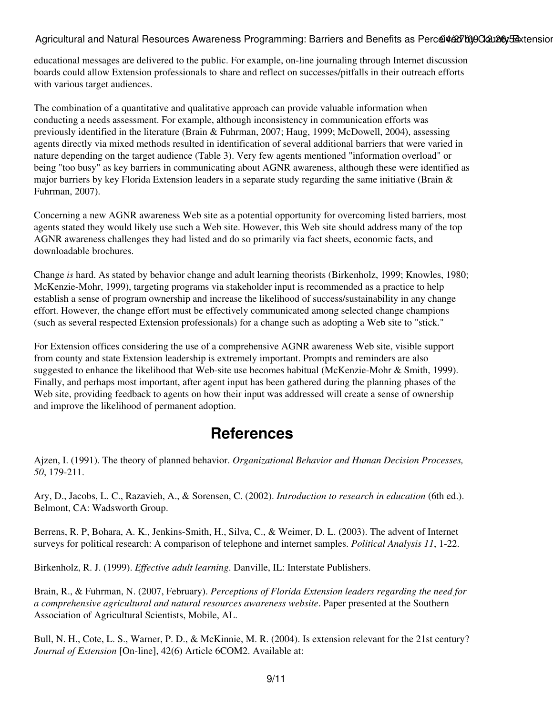educational messages are delivered to the public. For example, on-line journaling through Internet discussion boards could allow Extension professionals to share and reflect on successes/pitfalls in their outreach efforts with various target audiences.

The combination of a quantitative and qualitative approach can provide valuable information when conducting a needs assessment. For example, although inconsistency in communication efforts was previously identified in the literature (Brain & Fuhrman, 2007; Haug, 1999; McDowell, 2004), assessing agents directly via mixed methods resulted in identification of several additional barriers that were varied in nature depending on the target audience (Table 3). Very few agents mentioned "information overload" or being "too busy" as key barriers in communicating about AGNR awareness, although these were identified as major barriers by key Florida Extension leaders in a separate study regarding the same initiative (Brain & Fuhrman, 2007).

Concerning a new AGNR awareness Web site as a potential opportunity for overcoming listed barriers, most agents stated they would likely use such a Web site. However, this Web site should address many of the top AGNR awareness challenges they had listed and do so primarily via fact sheets, economic facts, and downloadable brochures.

Change *is* hard. As stated by behavior change and adult learning theorists (Birkenholz, 1999; Knowles, 1980; McKenzie-Mohr, 1999), targeting programs via stakeholder input is recommended as a practice to help establish a sense of program ownership and increase the likelihood of success/sustainability in any change effort. However, the change effort must be effectively communicated among selected change champions (such as several respected Extension professionals) for a change such as adopting a Web site to "stick."

For Extension offices considering the use of a comprehensive AGNR awareness Web site, visible support from county and state Extension leadership is extremely important. Prompts and reminders are also suggested to enhance the likelihood that Web-site use becomes habitual (McKenzie-Mohr & Smith, 1999). Finally, and perhaps most important, after agent input has been gathered during the planning phases of the Web site, providing feedback to agents on how their input was addressed will create a sense of ownership and improve the likelihood of permanent adoption.

## **References**

Ajzen, I. (1991). The theory of planned behavior. *Organizational Behavior and Human Decision Processes, 50*, 179-211.

Ary, D., Jacobs, L. C., Razavieh, A., & Sorensen, C. (2002). *Introduction to research in education* (6th ed.). Belmont, CA: Wadsworth Group.

Berrens, R. P, Bohara, A. K., Jenkins-Smith, H., Silva, C., & Weimer, D. L. (2003). The advent of Internet surveys for political research: A comparison of telephone and internet samples. *Political Analysis 11*, 1-22.

Birkenholz, R. J. (1999). *Effective adult learning*. Danville, IL: Interstate Publishers.

Brain, R., & Fuhrman, N. (2007, February). *Perceptions of Florida Extension leaders regarding the need for a comprehensive agricultural and natural resources awareness website*. Paper presented at the Southern Association of Agricultural Scientists, Mobile, AL.

Bull, N. H., Cote, L. S., Warner, P. D., & McKinnie, M. R. (2004). Is extension relevant for the 21st century? *Journal of Extension* [On-line], 42(6) Article 6COM2. Available at: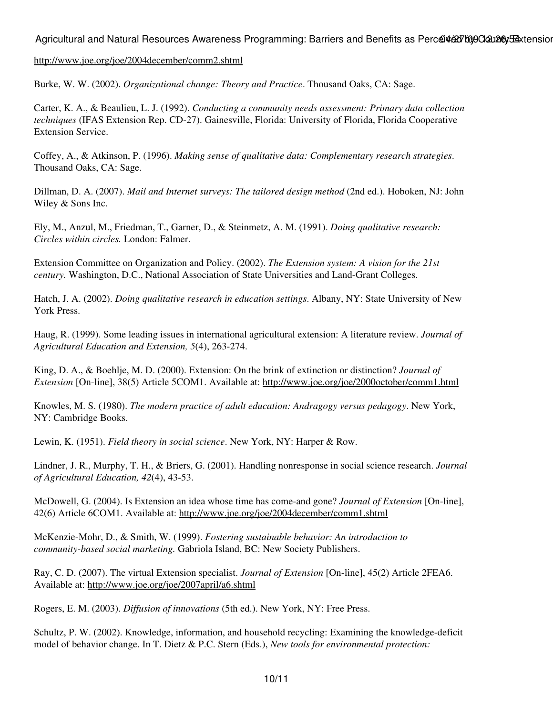#### <http://www.joe.org/joe/2004december/comm2.shtml>

Burke, W. W. (2002). *Organizational change: Theory and Practice*. Thousand Oaks, CA: Sage.

Carter, K. A., & Beaulieu, L. J. (1992). *Conducting a community needs assessment: Primary data collection techniques* (IFAS Extension Rep. CD-27). Gainesville, Florida: University of Florida, Florida Cooperative Extension Service.

Coffey, A., & Atkinson, P. (1996). *Making sense of qualitative data: Complementary research strategies*. Thousand Oaks, CA: Sage.

Dillman, D. A. (2007). *Mail and Internet surveys: The tailored design method* (2nd ed.). Hoboken, NJ: John Wiley & Sons Inc.

Ely, M., Anzul, M., Friedman, T., Garner, D., & Steinmetz, A. M. (1991). *Doing qualitative research: Circles within circles.* London: Falmer.

Extension Committee on Organization and Policy. (2002). *The Extension system: A vision for the 21st century.* Washington, D.C., National Association of State Universities and Land-Grant Colleges.

Hatch, J. A. (2002). *Doing qualitative research in education settings*. Albany, NY: State University of New York Press.

Haug, R. (1999). Some leading issues in international agricultural extension: A literature review. *Journal of Agricultural Education and Extension, 5*(4), 263-274.

King, D. A., & Boehlje, M. D. (2000). Extension: On the brink of extinction or distinction? *Journal of Extension* [On-line], 38(5) Article 5COM1. Available at: <http://www.joe.org/joe/2000october/comm1.html>

Knowles, M. S. (1980). *The modern practice of adult education: Andragogy versus pedagogy*. New York, NY: Cambridge Books.

Lewin, K. (1951). *Field theory in social science*. New York, NY: Harper & Row.

Lindner, J. R., Murphy, T. H., & Briers, G. (2001). Handling nonresponse in social science research. *Journal of Agricultural Education, 42*(4), 43-53.

McDowell, G. (2004). Is Extension an idea whose time has come-and gone? *Journal of Extension* [On-line], 42(6) Article 6COM1. Available at: [http://www.joe.org/joe/2004december/comm1.shtml](http://www.joe.org/joe/2004december/comm1.shtml )

McKenzie-Mohr, D., & Smith, W. (1999). *Fostering sustainable behavior: An introduction to community-based social marketing.* Gabriola Island, BC: New Society Publishers.

Ray, C. D. (2007). The virtual Extension specialist. *Journal of Extension* [On-line], 45(2) Article 2FEA6. Available at: <http://www.joe.org/joe/2007april/a6.shtml>

Rogers, E. M. (2003). *Diffusion of innovations* (5th ed.). New York, NY: Free Press.

Schultz, P. W. (2002). Knowledge, information, and household recycling: Examining the knowledge-deficit model of behavior change. In T. Dietz & P.C. Stern (Eds.), *New tools for environmental protection:*